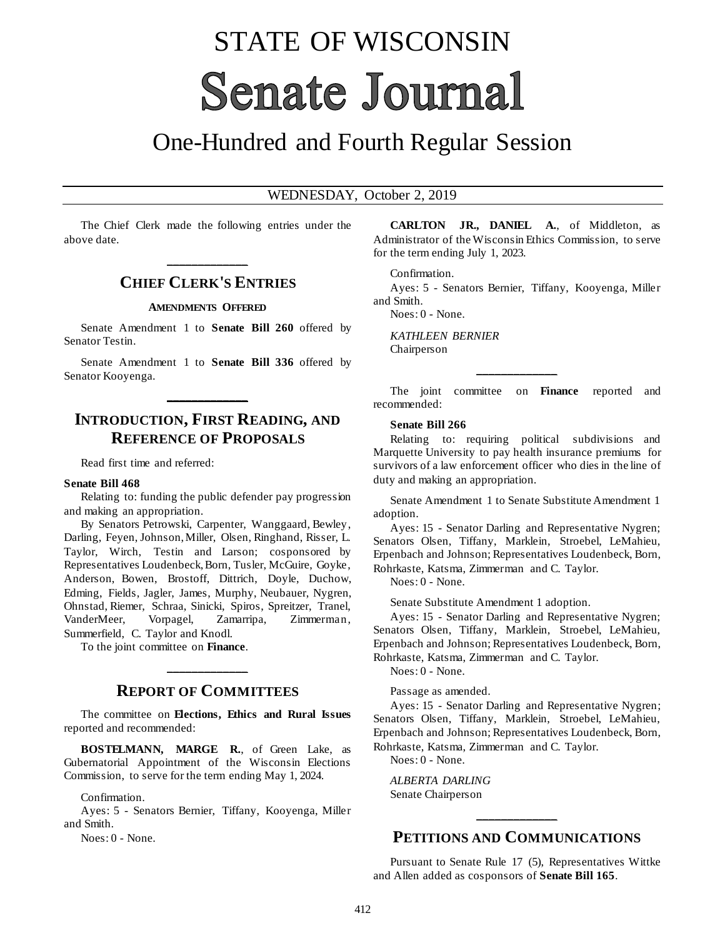# STATE OF WISCONSIN **Senate Journal**

## One-Hundred and Fourth Regular Session

#### WEDNESDAY, October 2, 2019

The Chief Clerk made the following entries under the above date.

## **\_\_\_\_\_\_\_\_\_\_\_\_\_ CHIEF CLERK'S ENTRIES**

#### **AMENDMENTS OFFERED**

Senate Amendment 1 to **Senate Bill 260** offered by Senator Testin.

Senate Amendment 1 to **Senate Bill 336** offered by Senator Kooyenga.

**\_\_\_\_\_\_\_\_\_\_\_\_\_**

## **INTRODUCTION, FIRST READING, AND REFERENCE OF PROPOSALS**

Read first time and referred:

#### **Senate Bill 468**

Relating to: funding the public defender pay progression and making an appropriation.

By Senators Petrowski, Carpenter, Wanggaard, Bewley, Darling, Feyen, Johnson, Miller, Olsen, Ringhand, Risser, L. Taylor, Wirch, Testin and Larson; cosponsored by Representatives Loudenbeck, Born, Tusler, McGuire, Goyke, Anderson, Bowen, Brostoff, Dittrich, Doyle, Duchow, Edming, Fields, Jagler, James, Murphy, Neubauer, Nygren, Ohnstad, Riemer, Schraa, Sinicki, Spiros, Spreitzer, Tranel, VanderMeer, Vorpagel, Zamarripa, Zimmerman, Summerfield, C. Taylor and Knodl.

To the joint committee on **Finance**.

### **REPORT OF COMMITTEES**

**\_\_\_\_\_\_\_\_\_\_\_\_\_**

The committee on **Elections, Ethics and Rural Issues** reported and recommended:

**BOSTELMANN, MARGE R.**, of Green Lake, as Gubernatorial Appointment of the Wisconsin Elections Commission, to serve for the term ending May 1, 2024.

Confirmation.

Ayes: 5 - Senators Bernier, Tiffany, Kooyenga, Miller and Smith.

Noes: 0 - None.

**CARLTON JR., DANIEL A.**, of Middleton, as Administrator of the Wisconsin Ethics Commission, to serve for the term ending July 1, 2023.

#### Confirmation.

Ayes: 5 - Senators Bernier, Tiffany, Kooyenga, Miller and Smith.

Noes: 0 - None.

*KATHLEEN BERNIER* Chairperson

The joint committee on **Finance** reported and recommended:

**\_\_\_\_\_\_\_\_\_\_\_\_\_**

#### **Senate Bill 266**

Relating to: requiring political subdivisions and Marquette University to pay health insurance premiums for survivors of a law enforcement officer who dies in the line of duty and making an appropriation.

Senate Amendment 1 to Senate Substitute Amendment 1 adoption.

Ayes: 15 - Senator Darling and Representative Nygren; Senators Olsen, Tiffany, Marklein, Stroebel, LeMahieu, Erpenbach and Johnson; Representatives Loudenbeck, Born, Rohrkaste, Katsma, Zimmerman and C. Taylor.

Noes: 0 - None.

Senate Substitute Amendment 1 adoption.

Ayes: 15 - Senator Darling and Representative Nygren; Senators Olsen, Tiffany, Marklein, Stroebel, LeMahieu, Erpenbach and Johnson; Representatives Loudenbeck, Born, Rohrkaste, Katsma, Zimmerman and C. Taylor.

Noes: 0 - None.

Passage as amended.

Ayes: 15 - Senator Darling and Representative Nygren; Senators Olsen, Tiffany, Marklein, Stroebel, LeMahieu, Erpenbach and Johnson; Representatives Loudenbeck, Born, Rohrkaste, Katsma, Zimmerman and C. Taylor.

Noes: 0 - None.

*ALBERTA DARLING* Senate Chairperson

## **\_\_\_\_\_\_\_\_\_\_\_\_\_ PETITIONS AND COMMUNICATIONS**

Pursuant to Senate Rule 17 (5), Representatives Wittke and Allen added as cosponsors of **Senate Bill 165**.